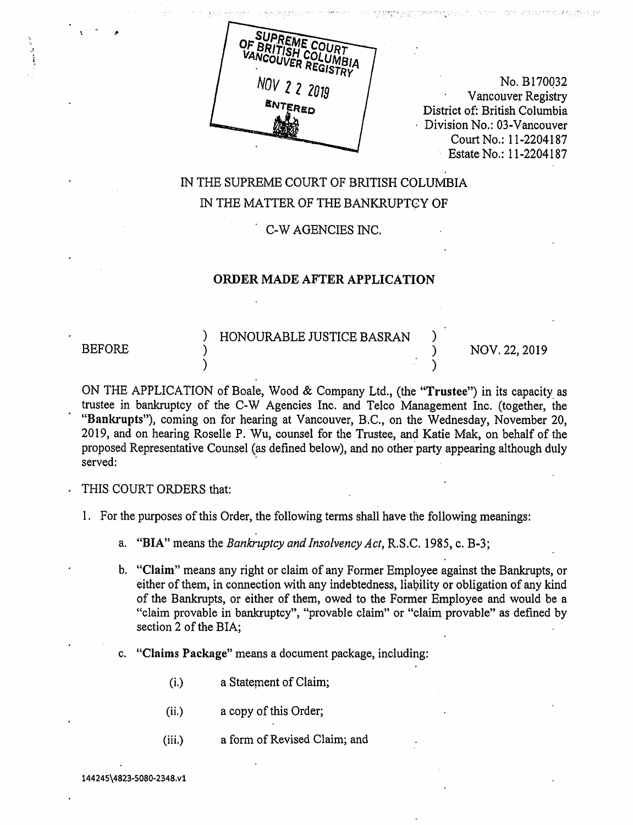

No. B170032 • Vancouver Registry District of: British Columbia • Division No.: 03-Vancouver Court No.: 11-2204187 Estate No.: 11-2204187

# IN THE SUPREME COURT OF BRITISH COLUMBIA IN THE MATTER OF THE BANKRUPTCY OF

• C-W AGENCIES INC.

#### ORDER MADE AFTER APPLICATION

) HONOURABLE JUSTICE BASRAN ) BEFORE ) NOV. 22, 2019

ON THE APPLICATION of Boale, Wood & Company Ltd., (the "Trustee") in its capacity as trustee in bankruptcy of the C-W Agencies Inc. and Telco Management Inc. (together, the "Bankrupts"), coming on for hearing at Vancouver, B.C., on the Wednesday, November 20, 2019, and on hearing Roselle P. Wu, counsel for the Trustee, and Katie Mak, on behalf of the proposed Representative Counsel (as defined below), and no other party appearing although duly served:

THIS COURT ORDERS that:

- 1. For the purposes of this Order, the following terms shall have the following meanings:
	- a. "BIA" means the Bankruptcy and Insolvency Act, R.S.C. 1985, c. B-3;
	- b. "Claim" means any right or claim of any Former Employee against the Bankrupts, or either of them, in connection with any indebtedness, liability or obligation of any kind of the Bankrupts, or either of them, owed to the Former Employee and would be a "claim provable in bankruptcy", "provable claim" or "claim provable" as defined by section 2 of the BIA;
	- c. "Claims Package" means a document package, including:
		- (i.) a Statement of Claim;
		- (ii.) a copy of this Order;
		- (iii.) a form of Revised Claim; and

144245\4823-5080-2348.v1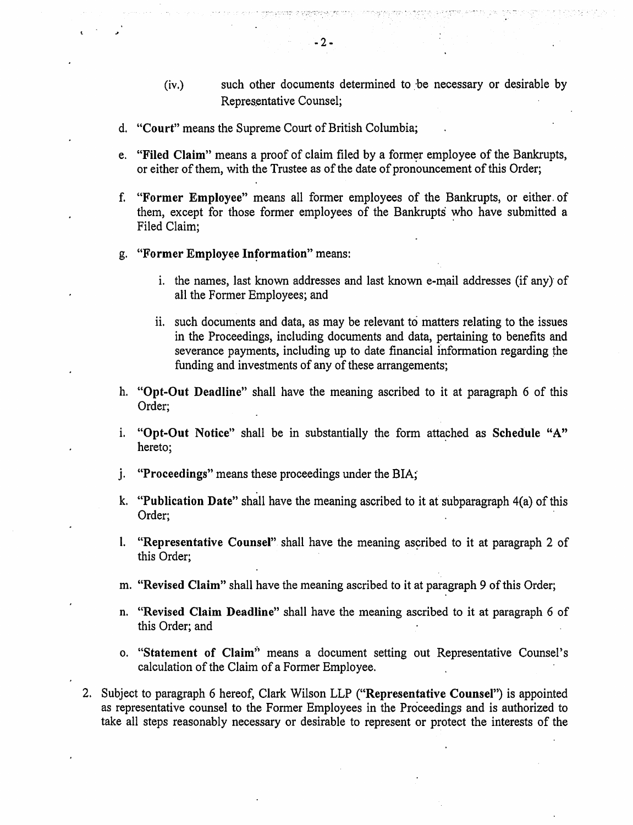- (iv.) such other documents determined to be necessary or desirable by Representative Counsel;
- d. "Court" means the Supreme Court of British Columbia;
- e. "Filed Claim" means a proof of claim filed by a former employee of the Bankrupts, or either of them, with the Trustee as of the date of pronouncement of this Order;
- f. "Former Employee" means all former employees of the Bankrupts, or either. of them, except for those former employees of the Bankrupts who have submitted a Filed Claim;
- g. "Former Employee Information" means:
	- i. the names, last known addresses and last known e-mail addresses (if any) of all the Former Employees; and
	- ii. such documents and data, as may be relevant to matters relating to the issues in the Proceedings, including documents and data, pertaining to benefits and severance payments, including up to date financial information regarding the funding and investments of any of these arrangements;
- h. "Opt-Out Deadline" shall have the meaning ascribed to it at paragraph 6 of this Order;
- i. "Opt-Out Notice" shall be in substantially the form attached as Schedule "A" hereto;
- j. "Proceedings" means these proceedings under the BIA;
- k. "Publication Date" shall have the meaning ascribed to it at subparagraph 4(a) of this Order;
- 1. "Representative Counsel" shall have the meaning ascribed to it at paragraph 2 of this Order;
- m. "Revised Claim" shall have the meaning ascribed to it at paragraph 9 of this Order;
- n. "Revised Claim Deadline" shall have the meaning ascribed to it at paragraph 6 of this Order; and
- o. "Statement of Claim" means a document setting out Representative Counsel's calculation of the Claim of a Former Employee.
- 2. Subject to paragraph 6 hereof, Clark Wilson LLP ("Representative Counsel") is appointed as representative counsel to the Former Employees in the Proceedings and is authorized to take all steps reasonably necessary or desirable to represent or protect the interests of the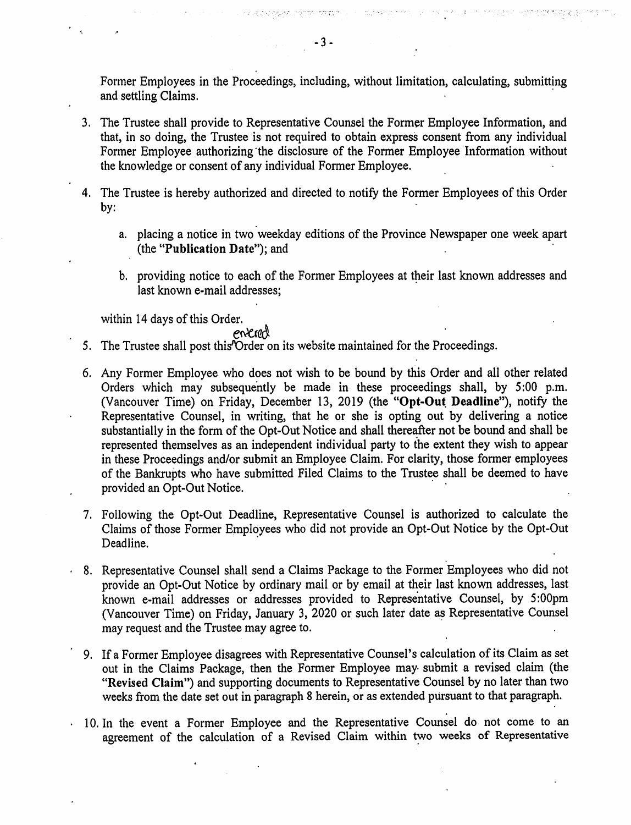Former Employees in the Proceedings, including, without limitation, calculating, submitting and settling Claims.

J. .

- 3. The Trustee shall provide to Representative Counsel the Former Employee Information, and that, in so doing, the Trustee is not required to obtain express consent from any individual Former Employee authorizing the disclosure of the Former Employee Information without the knowledge or consent of any individual Former Employee.
- 4. The Trustee is hereby authorized and directed to notify the Former Employees of this Order by:
	- a. placing a notice in two weekday editions of the Province Newspaper one week apart (the "Publication Date"); and
	- b. providing notice to each of. the Former Employees at their last known addresses and last known e-mail addresses;

within 14 days of this Order.

 $\epsilon$ 

enterent 5. The Trustee shall post this'Order on its website maintained for the Proceedings.

- 6. Any Former Employee who does not wish to be bound by this Order and all other related Orders which may subsequently be made in these proceedings shall, by 5:00 p.m. (Vancouver Time) on Friday, December 13, 2019 (the "Opt-Out Deadline"), notify the Representative Counsel, in writing, that he or she is opting out by delivering a notice substantially in the form of the Opt-Out Notice and shall thereafter not be bound and shall be represented themselves as an independent individual party to the extent they wish to appear in these Proceedings and/or submit an Employee Claim. For clarity, those former employees of the Bankrupts who have submitted Filed Claims to the Trustee shall be deemed to have provided an Opt-Out Notice.
- 7. Following the Opt-Out Deadline, Representative Counsel is authorized to calculate the Claims of those Former Employees who did not provide an Opt-Out Notice by the Opt-Out Deadline.
- 8. Representative Counsel shall send a Claims Package to the Former Employees who did not provide an Opt-Out Notice by ordinary mail or by email at their last known addresses, last known e-mail addresses or addresses provided to Representative Counsel, by 5:00pm (Vancouver Time) on Friday, January 3, 2020 or such later date as Representative Counsel may request and the Trustee may agree to.
- 9. If a Former Employee disagrees with Representative Counsel's calculation of its Claim as set out in the Claims Package, then the Former Employee may submit a revised claim (the "Revised Claim") and supporting documents to Representative Counsel by no later than two weeks from the date set out in paragraph 8 herein, or as extended pursuant to that paragraph.
- 10. In the event a Former Employee and the Representative Counsel do not come to an agreement of the calculation of a Revised Claim within two weeks of Representative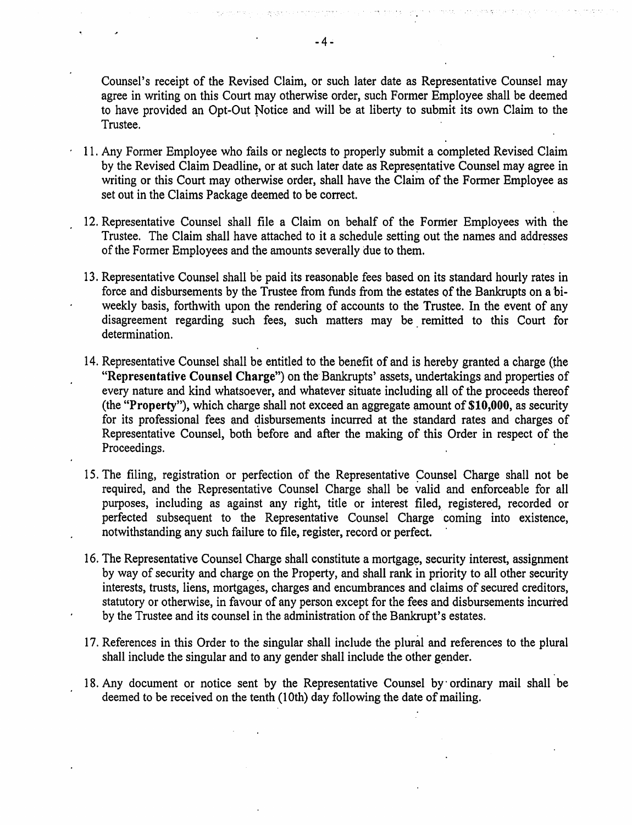Counsel's receipt of the Revised Claim, or such later date as Representative Counsel may agree in writing on this Court may otherwise order, such Former Employee shall be deemed to have provided an Opt-Out Notice and will be at liberty to submit its own Claim to the Trustee.

- <sup>1</sup> 1. Any Former Employee who fails or neglects to properly submit a completed Revised Claim by the Revised Claim Deadline, or at such later date as Representative Counsel may agree in writing or this Court may otherwise order, shall have the Claim of the Former Employee as set out in the Claims Package deemed to be correct.
- 12. Representative Counsel shall file a Claim on behalf of the Former Employees with the Trustee. The Claim shall have attached to it a schedule setting out the names and addresses of the Former Employees and the amounts severally due to them.
- 13. Representative Counsel shall be paid its reasonable fees based on its standard hourly rates in force and disbursements by the Trustee from funds from the estates of the Bankrupts on a biweekly basis, forthwith upon the rendering of accounts to the Trustee. In the event of any disagreement regarding such fees, such matters may be remitted to this Court for determination.
- 14. Representative Counsel shall be entitled to the benefit of and is hereby granted a charge (the "Representative Counsel Charge") on the Bankrupts' assets, undertakings and properties of every nature and kind whatsoever, and whatever situate including all of the proceeds thereof (the "Property"), which charge shall not exceed an aggregate amount of \$10,000, as security for its professional fees and disbursements incurred at the standard rates and charges of Representative Counsel, both before and after the making of this Order in respect of the Proceedings.
- 15. The filing, registration or perfection of the Representative Counsel Charge shall not be required, and the Representative Counsel Charge shall be valid and enforceable for all purposes, including as against any right, title or interest filed, registered, recorded or perfected subsequent to the Representative Counsel Charge coming into existence, notwithstanding any such failure to file, register, record or perfect.
- 16. The Representative Counsel Charge shall constitute a mortgage, security interest, assignment by way of security and charge on the Property, and shall rank in priority to all other security interests, trusts, liens, mortgages, charges and encumbrances and claims of secured creditors, statutory or otherwise, in favour of any person except for the fees and disbursements incurred by the Trustee and its counsel in the administration of the Bankrupt's estates.
- 17. References in this Order to the singular shall include the plural and references to the plural shall include the singular and to any gender shall include the other gender.
- 18. Any document or notice sent by the Representative Counsel by ordinary mail shall be deemed to be received on the tenth (10th) day following the date of mailing.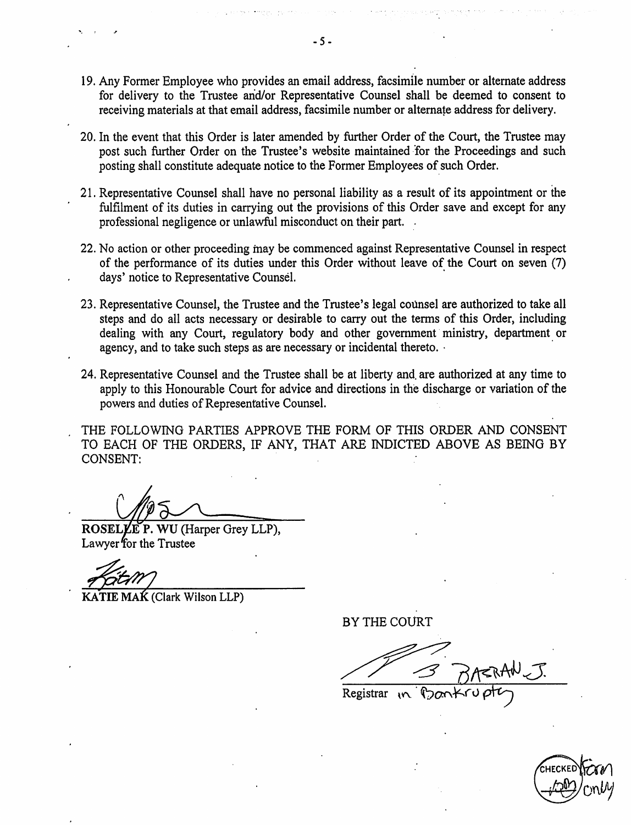- 19. Any Former Employee who provides an email address, facsimile number or alternate address for delivery to the Trustee arid/or Representative Counsel shall be deemed to consent to receiving materials at that email address, facsimile number or alternate address for delivery.
- 20. In the event that this Order is later amended by further Order of the Court, the Trustee may post such further Order on the Trustee's website maintained for the Proceedings and such posting shall constitute adequate notice to the Former Employees of such Order.
- 21. Representative Counsel shall have no personal liability as a result of its appointment or the fulfilment of its duties in carrying out the provisions of this Order save and except for any professional negligence or unlawful misconduct on their part.
- 22. No action or other proceeding may be commenced against Representative Counsel in respect of the performance of its duties under this Order without leave of the Court on seven (7) days' notice to Representative Counsel.
- 23. Representative Counsel, the Trustee and the Trustee's legal counsel are authorized to take all steps and do all acts necessary or desirable to carry out the terms of this Order, including dealing with any Court, regulatory body and other government ministry, department or agency, and to take such steps as are necessary or incidental thereto. •
- 24. Representative Counsel and the Trustee shall be at liberty and. are authorized at any time to apply to this Honourable Court for advice and directions in the discharge or variation of the powers and duties of Representative Counsel.
- THE FOLLOWING PARTIES APPROVE THE FORM OF THIS ORDER AND CONSENT TO EACH OF THE ORDERS, IF ANY, THAT ARE INDICTED ABOVE AS BEING BY CONSENT:

ROSELLE P. WU (Harper Grey LLP), Lawyer for the Trustee

r<br>tit M

KATIE MAK (Clark Wilson LLP)

BY THE COURT

 $\overline{\text{Re}$ gistrar  $\overline{\text{Re}$ 

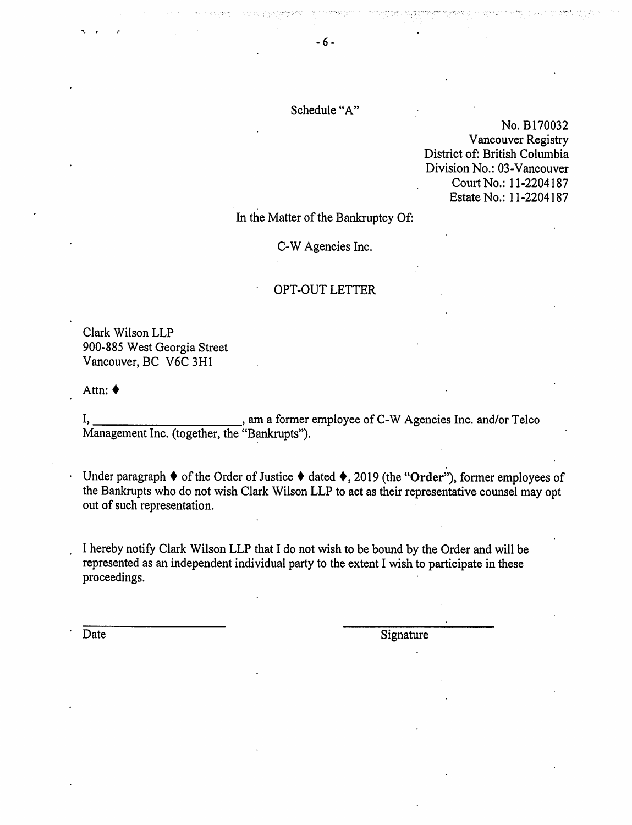## Schedule "A"

No. B170032 Vancouver Registry District of: British Columbia Division No.: 03-Vancouver Court No.: 11-2204187 Estate No.: 11-2204187

In the Matter of the Bankruptcy Of:

C-W Agencies Inc.

#### • OPT-OUT LETTER

Clark Wilson LLP 900-885 West Georgia Street Vancouver, BC V6C 3H1

Attn: •

•

, am a former employee of C-W Agencies Inc. and/or Telco I, 1. All and the Management Inc. (together, the "Bankrupts").

 $\cdot$  Under paragraph ♦ of the Order of Justice ♦ dated ♦, 2019 (the "Order"), former employees of the Bankrupts who do not wish Clark Wilson LLP to act as their representative counsel may opt out of such representation.

<sup>I</sup> hereby notify Clark Wilson LLP that I do not wish to be bound by the Order and will be represented as an independent individual party to the extent I wish to participate in these proceedings.

'

Date Signature